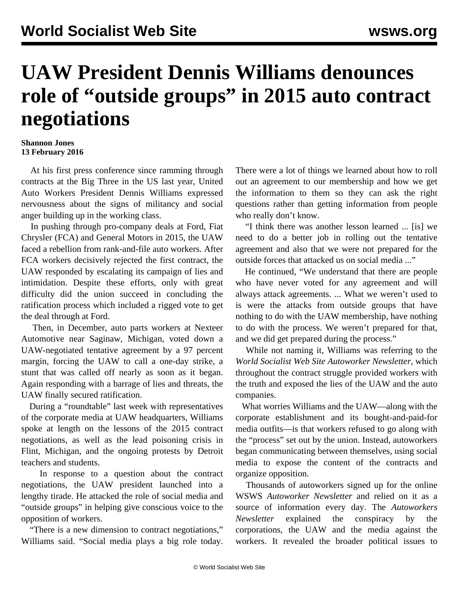## **UAW President Dennis Williams denounces role of "outside groups" in 2015 auto contract negotiations**

## **Shannon Jones 13 February 2016**

 At his first press conference since ramming through contracts at the Big Three in the US last year, United Auto Workers President Dennis Williams expressed nervousness about the signs of militancy and social anger building up in the working class.

 In pushing through pro-company deals at Ford, Fiat Chrysler (FCA) and General Motors in 2015, the UAW faced a rebellion from rank-and-file auto workers. After FCA workers decisively rejected the first contract, the UAW responded by escalating its campaign of lies and intimidation. Despite these efforts, only with great difficulty did the union succeed in concluding the ratification process which included a rigged vote to get the deal through at Ford.

 Then, in December, auto parts workers at Nexteer Automotive near Saginaw, Michigan, voted down a UAW-negotiated tentative agreement by a 97 percent margin, forcing the UAW to call a one-day strike, a stunt that was called off nearly as soon as it began. Again responding with a barrage of lies and threats, the UAW finally secured ratification.

 During a ["roundtable](https://www.youtube.com/watch?v=4seMEFE9jn0)" last week with representatives of the corporate media at UAW headquarters, Williams spoke at length on the lessons of the 2015 contract negotiations, as well as the lead poisoning crisis in Flint, Michigan, and the ongoing protests by Detroit teachers and students.

 In response to a question about the contract negotiations, the UAW president launched into a lengthy tirade. He attacked the role of social media and "outside groups" in helping give conscious voice to the opposition of workers.

 "There is a new dimension to contract negotiations," Williams said. "Social media plays a big role today. There were a lot of things we learned about how to roll out an agreement to our membership and how we get the information to them so they can ask the right questions rather than getting information from people who really don't know.

 "I think there was another lesson learned ... [is] we need to do a better job in rolling out the tentative agreement and also that we were not prepared for the outside forces that attacked us on social media ..."

 He continued, "We understand that there are people who have never voted for any agreement and will always attack agreements. ... What we weren't used to is were the attacks from outside groups that have nothing to do with the UAW membership, have nothing to do with the process. We weren't prepared for that, and we did get prepared during the process."

 While not naming it, Williams was referring to the *World Socialist Web Site Autoworker Newsletter,* which throughout the contract struggle provided workers with the truth and exposed the lies of the UAW and the auto companies.

 What worries Williams and the UAW—along with the corporate establishment and its bought-and-paid-for media outfits—is that workers refused to go along with the "process" set out by the union. Instead, autoworkers began communicating between themselves, using social media to expose the content of the contracts and organize opposition.

 Thousands of autoworkers signed up for the online WSWS *Autoworker Newsletter* and relied on it as a source of information every day. The *Autoworkers Newsletter* explained the conspiracy by the corporations, the UAW and the media against the workers. It revealed the broader political issues to